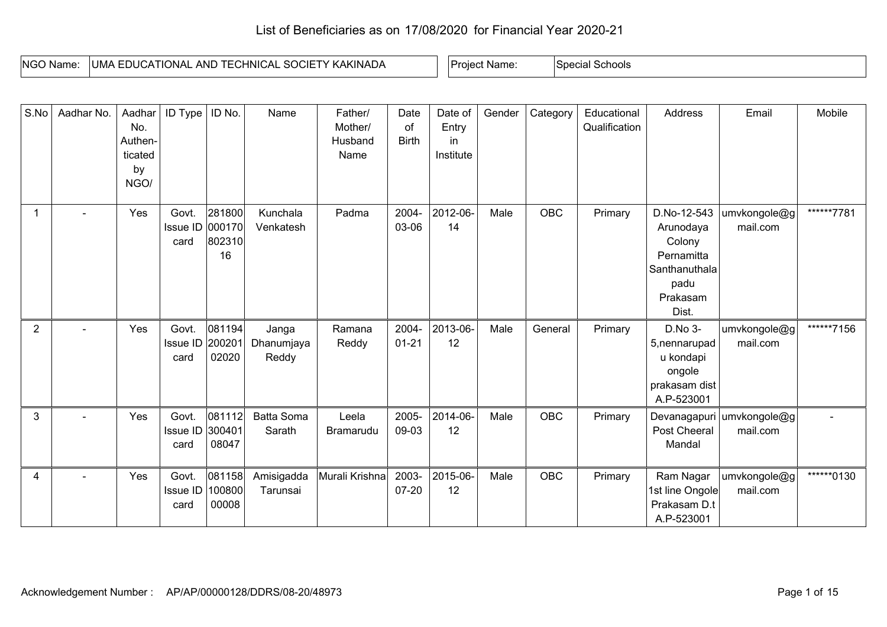## List of Beneficiaries as on 17/08/2020 for Financial Year 2020-21

| <b>NGO Name:</b> | KAKINADA<br>HNICAL<br>UMA<br>. SOCII<br>. AND<br>EDUCATIONAL<br>$\blacksquare$ | Name.<br><b>Drc</b> | Schools<br>Special |
|------------------|--------------------------------------------------------------------------------|---------------------|--------------------|

| S.No           | Aadhar No. | Aadhar<br>No.<br>Authen-<br>ticated<br>by<br>NGO/ | ID Type                          | ID No.                           | Name                         | Father/<br>Mother/<br>Husband<br>Name | Date<br>of<br><b>Birth</b> | Date of<br>Entry<br>in.<br>Institute | Gender | Category   | Educational<br>Qualification | Address                                                                                        | Email                    | Mobile     |
|----------------|------------|---------------------------------------------------|----------------------------------|----------------------------------|------------------------------|---------------------------------------|----------------------------|--------------------------------------|--------|------------|------------------------------|------------------------------------------------------------------------------------------------|--------------------------|------------|
| $\mathbf 1$    |            | Yes                                               | Govt.<br>Issue ID<br>card        | 281800<br>000170<br>802310<br>16 | Kunchala<br>Venkatesh        | Padma                                 | 2004-<br>03-06             | 2012-06-<br>14                       | Male   | <b>OBC</b> | Primary                      | D.No-12-543<br>Arunodaya<br>Colony<br>Pernamitta<br>Santhanuthala<br>padu<br>Prakasam<br>Dist. | umvkongole@g<br>mail.com | ******7781 |
| $\overline{2}$ |            | Yes                                               | Govt.<br>Issue ID<br>card        | 081194<br>200201<br>02020        | Janga<br>Dhanumjaya<br>Reddy | Ramana<br>Reddy                       | 2004-<br>$01 - 21$         | 2013-06-<br>12                       | Male   | General    | Primary                      | D.No 3-<br>5, nennarupad<br>u kondapi<br>ongole<br>prakasam dist<br>A.P-523001                 | umvkongole@g<br>mail.com | ******7156 |
| 3              |            | Yes                                               | Govt.<br>Issue ID 300401<br>card | 081112<br>08047                  | <b>Batta Soma</b><br>Sarath  | Leela<br>Bramarudu                    | 2005-<br>09-03             | 2014-06-<br>12                       | Male   | OBC        | Primary                      | Devanagapuri<br>Post Cheeral<br>Mandal                                                         | umvkongole@g<br>mail.com |            |
| 4              |            | Yes                                               | Govt.<br>Issue ID<br>card        | 081158<br>100800<br>00008        | Amisigadda<br>Tarunsai       | Murali Krishna                        | 2003-<br>$07 - 20$         | 2015-06-<br>12                       | Male   | <b>OBC</b> | Primary                      | Ram Nagar<br>1st line Ongole<br>Prakasam D.t<br>A.P-523001                                     | umvkongole@g<br>mail.com | ******0130 |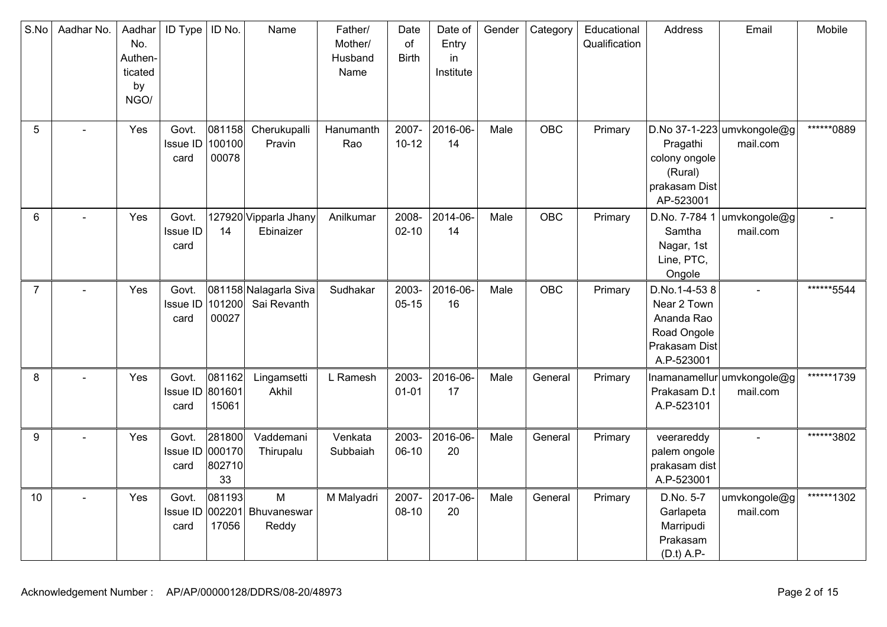| S.No           | Aadhar No. | Aadhar<br>No.<br>Authen-<br>ticated<br>by<br>NGO/ | ID Type                          | ID No.                           | Name                                      | Father/<br>Mother/<br>Husband<br>Name | Date<br>of<br><b>Birth</b> | Date of<br>Entry<br>in<br>Institute | Gender | Category   | Educational<br>Qualification | Address                                                                                 | Email                                  | Mobile     |
|----------------|------------|---------------------------------------------------|----------------------------------|----------------------------------|-------------------------------------------|---------------------------------------|----------------------------|-------------------------------------|--------|------------|------------------------------|-----------------------------------------------------------------------------------------|----------------------------------------|------------|
| 5              |            | Yes                                               | Govt.<br><b>Issue ID</b><br>card | 081158<br>100100<br>00078        | Cherukupalli<br>Pravin                    | Hanumanth<br>Rao                      | 2007-<br>$10 - 12$         | 2016-06-<br>14                      | Male   | <b>OBC</b> | Primary                      | Pragathi<br>colony ongole<br>(Rural)<br>prakasam Dist<br>AP-523001                      | D.No 37-1-223 umvkongole@g<br>mail.com | ******0889 |
| 6              |            | Yes                                               | Govt.<br><b>Issue ID</b><br>card | 14                               | 127920 Vipparla Jhany<br>Ebinaizer        | Anilkumar                             | 2008-<br>$02 - 10$         | 2014-06-<br>14                      | Male   | <b>OBC</b> | Primary                      | D.No. 7-784 1<br>Samtha<br>Nagar, 1st<br>Line, PTC,<br>Ongole                           | umvkongole@g<br>mail.com               |            |
| $\overline{7}$ |            | Yes                                               | Govt.<br>Issue ID<br>card        | 101200<br>00027                  | 081158 Nalagarla Siva<br>Sai Revanth      | Sudhakar                              | 2003-<br>$05 - 15$         | 2016-06-<br>16                      | Male   | <b>OBC</b> | Primary                      | D.No.1-4-538<br>Near 2 Town<br>Ananda Rao<br>Road Ongole<br>Prakasam Dist<br>A.P-523001 |                                        | ******5544 |
| 8              |            | Yes                                               | Govt.<br><b>Issue ID</b><br>card | 081162<br>801601<br>15061        | Lingamsetti<br>Akhil                      | L Ramesh                              | 2003-<br>$01 - 01$         | 2016-06-<br>17                      | Male   | General    | Primary                      | Prakasam D.t<br>A.P-523101                                                              | Inamanamellur umvkongole@g<br>mail.com | ******1739 |
| 9              |            | Yes                                               | Govt.<br>Issue ID<br>card        | 281800<br>000170<br>802710<br>33 | Vaddemani<br>Thirupalu                    | Venkata<br>Subbaiah                   | 2003-<br>06-10             | 2016-06-<br>20                      | Male   | General    | Primary                      | veerareddy<br>palem ongole<br>prakasam dist<br>A.P-523001                               |                                        | ******3802 |
| 10             |            | Yes                                               | Govt.<br>card                    | 081193<br>17056                  | M<br>Issue ID 002201 Bhuvaneswar<br>Reddy | M Malyadri                            | 2007-<br>$08-10$           | 2017-06-<br>20                      | Male   | General    | Primary                      | D.No. 5-7<br>Garlapeta<br>Marripudi<br>Prakasam<br>(D.t) A.P                            | umvkongole@g<br>mail.com               | ******1302 |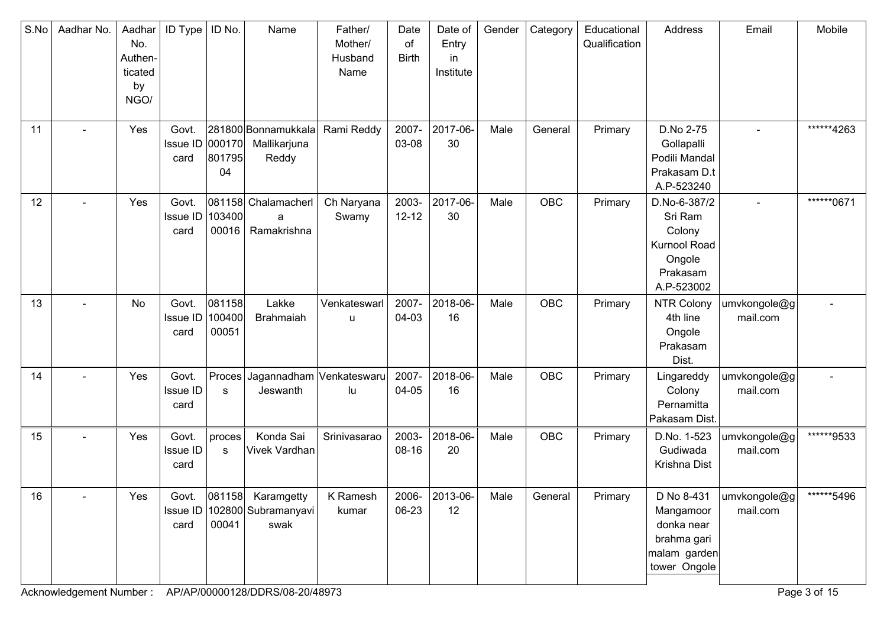| S.No | Aadhar No.     | Aadhar<br>No.<br>Authen-<br>ticated<br>by<br>NGO/ | ID Type                          | ID No.                    | Name                                                        | Father/<br>Mother/<br>Husband<br>Name | Date<br>of<br><b>Birth</b> | Date of<br>Entry<br>in<br>Institute | Gender | Category   | Educational<br>Qualification | Address                                                                               | Email                    | Mobile     |
|------|----------------|---------------------------------------------------|----------------------------------|---------------------------|-------------------------------------------------------------|---------------------------------------|----------------------------|-------------------------------------|--------|------------|------------------------------|---------------------------------------------------------------------------------------|--------------------------|------------|
| 11   |                | Yes                                               | Govt.<br>Issue ID<br>card        | 000170<br>801795<br>04    | 281800 Bonnamukkala<br>Mallikarjuna<br>Reddy                | Rami Reddy                            | 2007-<br>03-08             | 2017-06-<br>30                      | Male   | General    | Primary                      | D.No 2-75<br>Gollapalli<br>Podili Mandal<br>Prakasam D.t<br>A.P-523240                |                          | ******4263 |
| 12   | $\blacksquare$ | Yes                                               | Govt.<br>Issue ID<br>card        | 103400<br>00016           | 081158 Chalamacherl<br>a<br>Ramakrishna                     | Ch Naryana<br>Swamy                   | 2003-<br>$12 - 12$         | 2017-06-<br>30                      | Male   | OBC        | Primary                      | D.No-6-387/2<br>Sri Ram<br>Colony<br>Kurnool Road<br>Ongole<br>Prakasam<br>A.P-523002 |                          | ******0671 |
| 13   |                | No                                                | Govt.<br><b>Issue ID</b><br>card | 081158<br>100400<br>00051 | Lakke<br>Brahmaiah                                          | Venkateswarl<br>u                     | 2007-<br>04-03             | 2018-06-<br>16                      | Male   | OBC        | Primary                      | NTR Colony<br>4th line<br>Ongole<br>Prakasam<br>Dist.                                 | umvkongole@g<br>mail.com |            |
| 14   |                | Yes                                               | Govt.<br><b>Issue ID</b><br>card | Proces<br>s               | Jagannadham Venkateswaru<br>Jeswanth                        | lu                                    | 2007-<br>04-05             | 2018-06-<br>16                      | Male   | OBC        | Primary                      | Lingareddy<br>Colony<br>Pernamitta<br>Pakasam Dist.                                   | umvkongole@g<br>mail.com |            |
| 15   |                | Yes                                               | Govt.<br>Issue ID<br>card        | proces<br>s               | Konda Sai<br>Vivek Vardhan                                  | Srinivasarao                          | 2003-<br>08-16             | 2018-06-<br>20                      | Male   | <b>OBC</b> | Primary                      | D.No. 1-523<br>Gudiwada<br>Krishna Dist                                               | umvkongole@g<br>mail.com | ******9533 |
| 16   |                | Yes                                               | Govt.<br>card                    | 00041                     | 081158 Karamgetty<br>Issue ID   102800 Subramanyavi<br>swak | K Ramesh<br>kumar                     | 06-23                      | 2006- 2013-06-<br>12                | Male   | General    | Primary                      | D No 8-431<br>Mangamoor<br>donka near<br>brahma gari<br>malam garden<br>tower Ongole  | umvkongole@g<br>mail.com | ******5496 |

Acknowledgement Number : AP/AP/00000128/DDRS/08-20/48973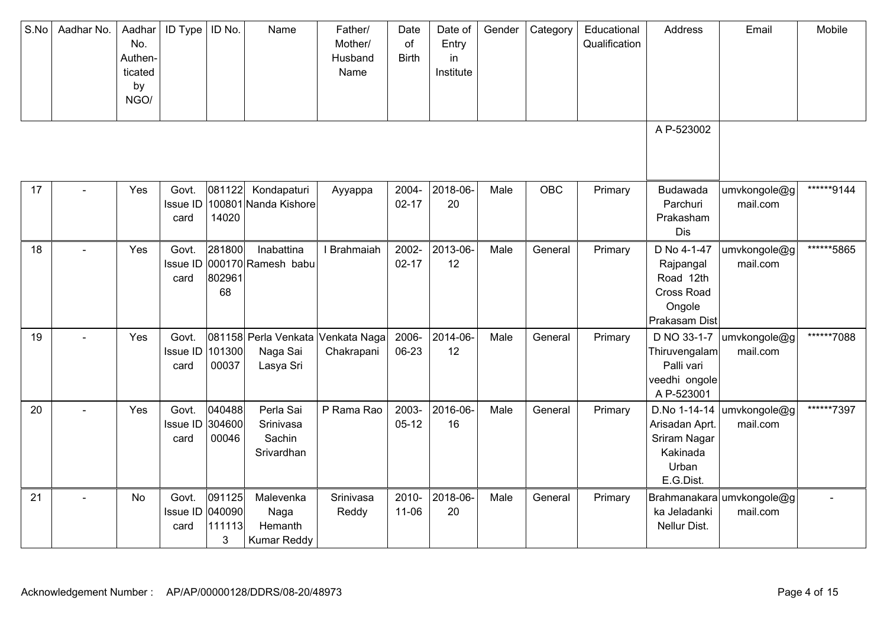| S.No | Aadhar No. | Aadhar<br>No.<br>Authen-<br>ticated<br>by<br>NGO/ | ID Type                          | ID No.                          | Name                                               | Father/<br>Mother/<br>Husband<br>Name | Date<br>of<br><b>Birth</b> | Date of<br>Entry<br>in<br>Institute | Gender | Category | Educational<br>Qualification | Address                                                                          | Email                                 | Mobile     |
|------|------------|---------------------------------------------------|----------------------------------|---------------------------------|----------------------------------------------------|---------------------------------------|----------------------------|-------------------------------------|--------|----------|------------------------------|----------------------------------------------------------------------------------|---------------------------------------|------------|
|      |            |                                                   |                                  |                                 |                                                    |                                       |                            |                                     |        |          |                              | A P-523002                                                                       |                                       |            |
| 17   |            | Yes                                               | Govt.<br><b>Issue ID</b><br>card | 081122<br>14020                 | Kondapaturi<br>100801 Nanda Kishore                | Ayyappa                               | 2004-<br>$02 - 17$         | 2018-06-<br>20                      | Male   | OBC      | Primary                      | Budawada<br>Parchuri<br>Prakasham<br>Dis                                         | umvkongole@g<br>mail.com              | ******9144 |
| 18   |            | Yes                                               | Govt.<br>Issue ID<br>card        | 281800<br>802961<br>68          | Inabattina<br>000170 Ramesh babu                   | I Brahmaiah                           | 2002-<br>$02 - 17$         | 2013-06-<br>12                      | Male   | General  | Primary                      | D No 4-1-47<br>Rajpangal<br>Road 12th<br>Cross Road<br>Ongole<br>Prakasam Dist   | umvkongole@g<br>mail.com              | ******5865 |
| 19   |            | Yes                                               | Govt.<br>Issue ID<br>card        | 101300<br>00037                 | 081158 Perla Venkata<br>Naga Sai<br>Lasya Sri      | Venkata Naga<br>Chakrapani            | 2006-<br>06-23             | 2014-06-<br>12                      | Male   | General  | Primary                      | D NO 33-1-7<br>Thiruvengalam<br>Palli vari<br>veedhi ongole<br>A P-523001        | umvkongole@g<br>mail.com              | ******7088 |
| 20   |            | Yes                                               | Govt.<br>Issue ID<br>card        | 040488<br>304600<br>00046       | Perla Sai<br>Srinivasa<br>Sachin<br>Srivardhan     | P Rama Rao                            | 2003-<br>$05-12$           | 2016-06-<br>16                      | Male   | General  | Primary                      | D.No 1-14-14<br>Arisadan Aprt.<br>Sriram Nagar<br>Kakinada<br>Urban<br>E.G.Dist. | umvkongole@g<br>mail.com              | ******7397 |
| 21   |            | No                                                | Govt.<br>Issue ID<br>card        | 091125<br>040090<br>111113<br>3 | Malevenka<br>Naga<br>Hemanth<br><b>Kumar Reddy</b> | Srinivasa<br>Reddy                    | 2010-<br>$11 - 06$         | 2018-06-<br>20                      | Male   | General  | Primary                      | ka Jeladanki<br>Nellur Dist.                                                     | Brahmanakara umvkongole@g<br>mail.com |            |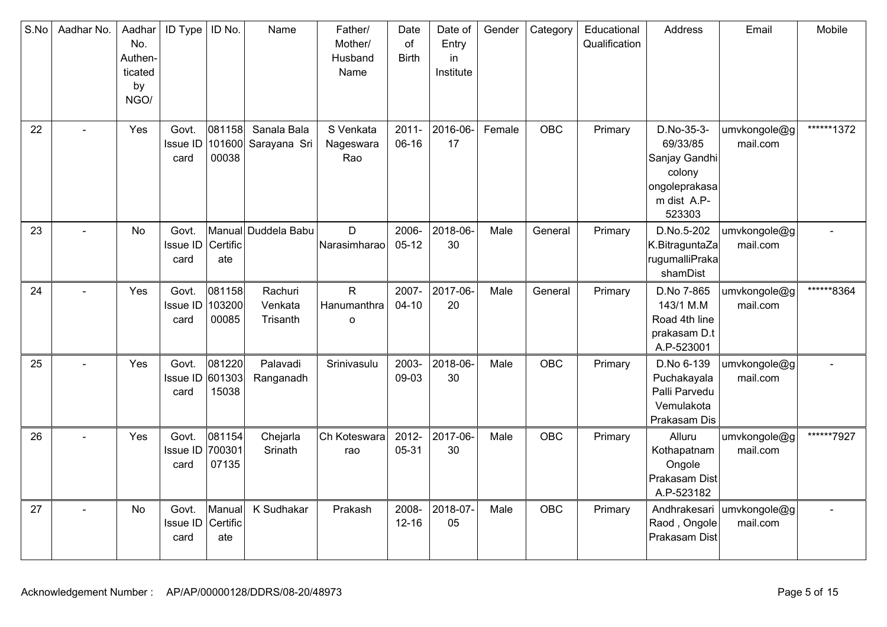| S.No | Aadhar No. | Aadhar<br>No.<br>Authen-<br>ticated<br>by<br>NGO/ | ID Type                          | ID No.                    | Name                           | Father/<br>Mother/<br>Husband<br>Name  | Date<br>of<br><b>Birth</b> | Date of<br>Entry<br>in<br>Institute | Gender | Category   | Educational<br>Qualification | Address                                                                                     | Email                    | Mobile     |
|------|------------|---------------------------------------------------|----------------------------------|---------------------------|--------------------------------|----------------------------------------|----------------------------|-------------------------------------|--------|------------|------------------------------|---------------------------------------------------------------------------------------------|--------------------------|------------|
| 22   |            | Yes                                               | Govt.<br>Issue ID<br>card        | 081158<br>101600<br>00038 | Sanala Bala<br>Sarayana Sri    | S Venkata<br>Nageswara<br>Rao          | $2011 -$<br>06-16          | 2016-06-<br>17                      | Female | <b>OBC</b> | Primary                      | D.No-35-3-<br>69/33/85<br>Sanjay Gandhi<br>colony<br>ongoleprakasa<br>m dist A.P-<br>523303 | umvkongole@g<br>mail.com | ******1372 |
| 23   |            | <b>No</b>                                         | Govt.<br>Issue ID<br>card        | Certific<br>ate           | Manual Duddela Babu            | D<br>Narasimharao                      | 2006-<br>$05 - 12$         | 2018-06-<br>30                      | Male   | General    | Primary                      | D.No.5-202<br>K.BitraguntaZa<br>rugumalliPraka<br>shamDist                                  | umvkongole@g<br>mail.com |            |
| 24   |            | Yes                                               | Govt.<br>Issue ID<br>card        | 081158<br>103200<br>00085 | Rachuri<br>Venkata<br>Trisanth | $\mathsf{R}$<br>Hanumanthra<br>$\circ$ | 2007-<br>$04 - 10$         | 2017-06-<br>20                      | Male   | General    | Primary                      | D.No 7-865<br>143/1 M.M<br>Road 4th line<br>prakasam D.t<br>A.P-523001                      | umvkongole@g<br>mail.com | ******8364 |
| 25   |            | Yes                                               | Govt.<br>Issue ID<br>card        | 081220<br>601303<br>15038 | Palavadi<br>Ranganadh          | Srinivasulu                            | 2003-<br>09-03             | 2018-06-<br>30                      | Male   | <b>OBC</b> | Primary                      | D.No 6-139<br>Puchakayala<br>Palli Parvedu<br>Vemulakota<br>Prakasam Dis                    | umvkongole@g<br>mail.com |            |
| 26   |            | Yes                                               | Govt.<br><b>Issue ID</b><br>card | 081154<br>700301<br>07135 | Chejarla<br>Srinath            | Ch Koteswara<br>rao                    | 2012-<br>05-31             | 2017-06-<br>30                      | Male   | OBC        | Primary                      | Alluru<br>Kothapatnam<br>Ongole<br>Prakasam Dist<br>A.P-523182                              | umvkongole@g<br>mail.com | ******7927 |
| 27   |            | No                                                | Govt.<br><b>Issue ID</b><br>card | Manual<br>Certific<br>ate | K Sudhakar                     | Prakash                                | 2008-<br>$12 - 16$         | 2018-07-<br>05                      | Male   | <b>OBC</b> | Primary                      | Andhrakesari<br>Raod, Ongole<br>Prakasam Dist                                               | umvkongole@g<br>mail.com |            |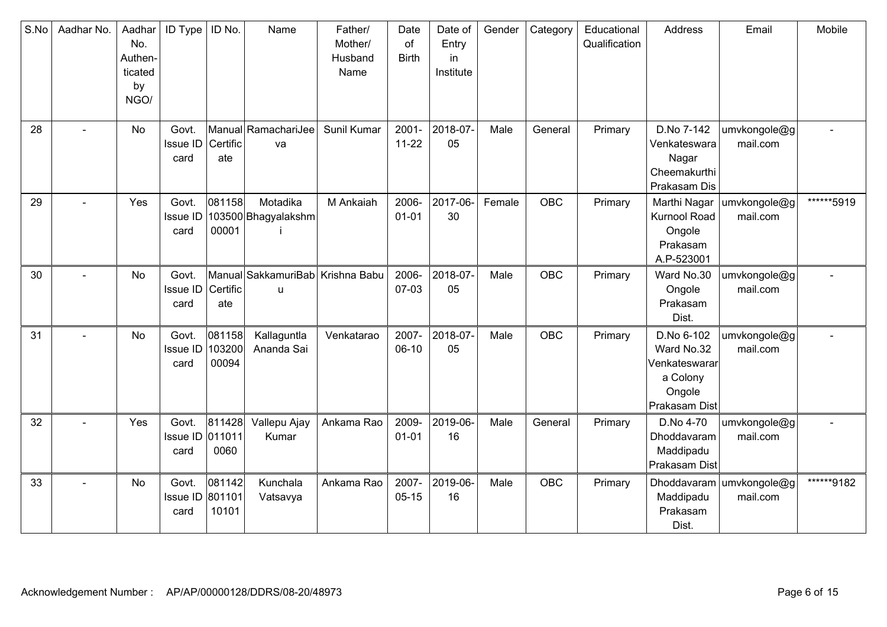| S.No | Aadhar No. | Aadhar<br>No.<br>Authen-<br>ticated<br>by<br>NGO/ | ID Type                          | ID No.                    | Name                                   | Father/<br>Mother/<br>Husband<br>Name | Date<br>of<br><b>Birth</b> | Date of<br>Entry<br>in<br>Institute | Gender | Category   | Educational<br>Qualification | Address                                                                           | Email                    | Mobile     |
|------|------------|---------------------------------------------------|----------------------------------|---------------------------|----------------------------------------|---------------------------------------|----------------------------|-------------------------------------|--------|------------|------------------------------|-----------------------------------------------------------------------------------|--------------------------|------------|
| 28   |            | No                                                | Govt.<br><b>Issue ID</b><br>card | Certific<br>ate           | Manual RamachariJee<br>va              | Sunil Kumar                           | $2001 -$<br>$11-22$        | 2018-07-<br>05                      | Male   | General    | Primary                      | D.No 7-142<br>Venkateswara<br>Nagar<br>Cheemakurthi<br>Prakasam Dis               | umvkongole@g<br>mail.com |            |
| 29   | $\sim$     | Yes                                               | Govt.<br><b>Issue ID</b><br>card | 081158<br>00001           | Motadika<br>103500 Bhagyalakshm        | M Ankaiah                             | 2006-<br>$01 - 01$         | 2017-06-<br>30                      | Female | OBC        | Primary                      | Marthi Nagar<br>Kurnool Road<br>Ongole<br>Prakasam<br>A.P-523001                  | umvkongole@g<br>mail.com | ******5919 |
| 30   |            | <b>No</b>                                         | Govt.<br><b>Issue ID</b><br>card | Certific<br>ate           | Manual SakkamuriBab Krishna Babu<br>u. |                                       | 2006-<br>07-03             | 2018-07-<br>05                      | Male   | <b>OBC</b> | Primary                      | Ward No.30<br>Ongole<br>Prakasam<br>Dist.                                         | umvkongole@g<br>mail.com |            |
| 31   |            | No                                                | Govt.<br><b>Issue ID</b><br>card | 081158<br>103200<br>00094 | Kallaguntla<br>Ananda Sai              | Venkatarao                            | 2007-<br>$06-10$           | 2018-07-<br>05                      | Male   | <b>OBC</b> | Primary                      | D.No 6-102<br>Ward No.32<br>Venkateswararl<br>a Colony<br>Ongole<br>Prakasam Dist | umvkongole@g<br>mail.com |            |
| 32   | ٠          | Yes                                               | Govt.<br>Issue ID 011011<br>card | 811428<br>0060            | Vallepu Ajay<br>Kumar                  | Ankama Rao                            | 2009-<br>$01 - 01$         | 2019-06-<br>16                      | Male   | General    | Primary                      | D.No 4-70<br>Dhoddavaram<br>Maddipadu<br>Prakasam Dist                            | umvkongole@g<br>mail.com |            |
| 33   |            | No                                                | Govt.<br>Issue ID<br>card        | 081142<br>801101<br>10101 | Kunchala<br>Vatsavya                   | Ankama Rao                            | 2007-<br>$05 - 15$         | 2019-06-<br>16                      | Male   | OBC        | Primary                      | Dhoddavaram<br>Maddipadu<br>Prakasam<br>Dist.                                     | umvkongole@g<br>mail.com | ******9182 |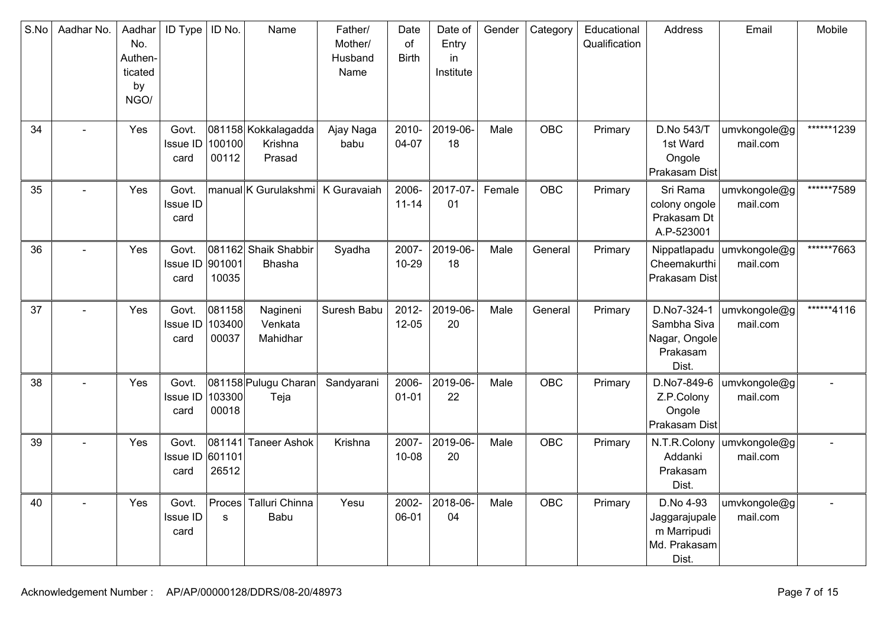| S.No | Aadhar No. | Aadhar<br>No.<br>Authen-<br>ticated<br>by<br>NGO/ | <b>ID Type</b>                   | ID No.                    | Name                                     | Father/<br>Mother/<br>Husband<br>Name | Date<br>of<br><b>Birth</b> | Date of<br>Entry<br>in<br>Institute | Gender | Category   | Educational<br>Qualification | Address                                                            | Email                    | Mobile     |
|------|------------|---------------------------------------------------|----------------------------------|---------------------------|------------------------------------------|---------------------------------------|----------------------------|-------------------------------------|--------|------------|------------------------------|--------------------------------------------------------------------|--------------------------|------------|
| 34   |            | Yes                                               | Govt.<br><b>Issue ID</b><br>card | 100100<br>00112           | 081158 Kokkalagadda<br>Krishna<br>Prasad | Ajay Naga<br>babu                     | 2010-<br>04-07             | 2019-06-<br>18                      | Male   | <b>OBC</b> | Primary                      | D.No 543/T<br>1st Ward<br>Ongole<br>Prakasam Dist                  | umvkongole@g<br>mail.com | ******1239 |
| 35   |            | Yes                                               | Govt.<br><b>Issue ID</b><br>card |                           | manual K Gurulakshmi                     | K Guravaiah                           | 2006-<br>$11 - 14$         | 2017-07-<br>01                      | Female | <b>OBC</b> | Primary                      | Sri Rama<br>colony ongole<br>Prakasam Dt<br>A.P-523001             | umvkongole@g<br>mail.com | ******7589 |
| 36   |            | Yes                                               | Govt.<br>Issue ID<br>card        | 901001<br>10035           | 081162 Shaik Shabbir<br>Bhasha           | Syadha                                | 2007-<br>$10 - 29$         | 2019-06-<br>18                      | Male   | General    | Primary                      | Nippatlapadu<br>Cheemakurthi<br>Prakasam Dist                      | umvkongole@g<br>mail.com | ******7663 |
| 37   |            | Yes                                               | Govt.<br>Issue ID<br>card        | 081158<br>103400<br>00037 | Nagineni<br>Venkata<br>Mahidhar          | Suresh Babu                           | 2012-<br>$12 - 05$         | 2019-06-<br>20                      | Male   | General    | Primary                      | D.No7-324-1<br>Sambha Siva<br>Nagar, Ongole<br>Prakasam<br>Dist.   | umvkongole@g<br>mail.com | ******4116 |
| 38   |            | Yes                                               | Govt.<br>Issue ID<br>card        | 103300<br>00018           | 081158 Pulugu Charan<br>Teja             | Sandyarani                            | 2006-<br>$01 - 01$         | 2019-06-<br>22                      | Male   | <b>OBC</b> | Primary                      | D.No7-849-6<br>Z.P.Colony<br>Ongole<br>Prakasam Dist               | umvkongole@g<br>mail.com |            |
| 39   |            | Yes                                               | Govt.<br>Issue ID 601101<br>card | 081141<br>26512           | <b>Taneer Ashok</b>                      | Krishna                               | 2007-<br>$10 - 08$         | 2019-06-<br>20                      | Male   | <b>OBC</b> | Primary                      | N.T.R.Colony<br>Addanki<br>Prakasam<br>Dist.                       | umvkongole@g<br>mail.com |            |
| 40   |            | Yes                                               | Govt.<br>Issue ID<br>card        | Proces<br>s               | Talluri Chinna<br>Babu                   | Yesu                                  | 2002-<br>06-01             | 2018-06-<br>04                      | Male   | <b>OBC</b> | Primary                      | D.No 4-93<br>Jaggarajupale<br>m Marripudi<br>Md. Prakasam<br>Dist. | umvkongole@g<br>mail.com |            |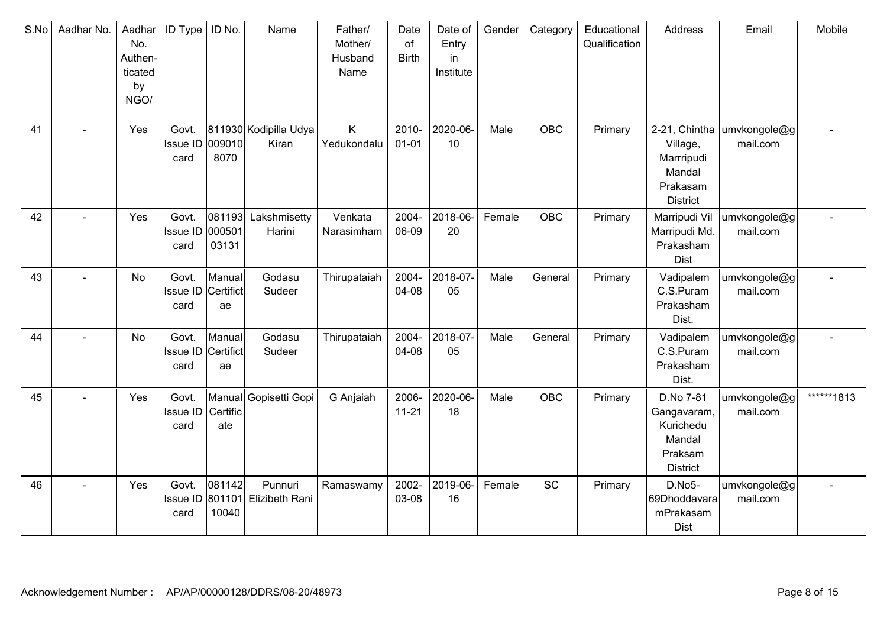| S.No | Aadhar No. | Aadhar<br>No.<br>Authen-<br>ticated<br>by<br>NGO/ | <b>ID Type</b>                      | ID No.          | Name                           | Father/<br>Mother/<br>Husband<br>Name | Date<br>of<br><b>Birth</b> | Date of<br>Entry<br>in<br>Institute | Gender | Category   | Educational<br>Qualification | Address                                                                       | Email                                  | Mobile     |
|------|------------|---------------------------------------------------|-------------------------------------|-----------------|--------------------------------|---------------------------------------|----------------------------|-------------------------------------|--------|------------|------------------------------|-------------------------------------------------------------------------------|----------------------------------------|------------|
| 41   |            | Yes                                               | Govt.<br>Issue ID 009010<br>card    | 8070            | 811930 Kodipilla Udya<br>Kiran | K<br>Yedukondalu                      | 2010-<br>$01 - 01$         | 2020-06-<br>10                      | Male   | <b>OBC</b> | Primary                      | Village,<br>Marrripudi<br>Mandal<br>Prakasam<br><b>District</b>               | 2-21, Chintha umvkongole@g<br>mail.com |            |
| 42   |            | Yes                                               | Govt.<br>Issue ID 000501<br>card    | 081193<br>03131 | Lakshmisetty<br>Harini         | Venkata<br>Narasimham                 | 2004-<br>06-09             | 2018-06-<br>20                      | Female | OBC        | Primary                      | Marripudi Vil<br>Marripudi Md.<br>Prakasham<br>Dist                           | umvkongole@g<br>mail.com               |            |
| 43   |            | No                                                | Govt.<br>Issue ID Certifict<br>card | Manual<br>ae    | Godasu<br>Sudeer               | Thirupataiah                          | 2004-<br>04-08             | 2018-07-<br>05                      | Male   | General    | Primary                      | Vadipalem<br>C.S.Puram<br>Prakasham<br>Dist.                                  | umvkongole@g<br>mail.com               |            |
| 44   |            | No                                                | Govt.<br>Issue ID Certifict<br>card | Manual<br>ae    | Godasu<br>Sudeer               | Thirupataiah                          | 2004-<br>04-08             | 2018-07-<br>05                      | Male   | General    | Primary                      | Vadipalem<br>C.S.Puram<br>Prakasham<br>Dist.                                  | umvkongole@g<br>mail.com               |            |
| 45   |            | Yes                                               | Govt.<br><b>Issue ID</b><br>card    | Certific<br>ate | Manual Gopisetti Gopi          | G Anjaiah                             | 2006-<br>$11 - 21$         | 2020-06-<br>18                      | Male   | OBC        | Primary                      | D.No 7-81<br>Gangavaram,<br>Kurichedu<br>Mandal<br>Praksam<br><b>District</b> | umvkongole@g<br>mail.com               | ******1813 |
| 46   | $\sim$     | Yes                                               | Govt.<br>Issue ID 801101<br>card    | 081142<br>10040 | Punnuri<br>Elizibeth Rani      | Ramaswamy                             | 2002-<br>03-08             | 2019-06-<br>16                      | Female | SC         | Primary                      | D.No5-<br>69Dhoddavara<br>mPrakasam<br><b>Dist</b>                            | umvkongole@g<br>mail.com               |            |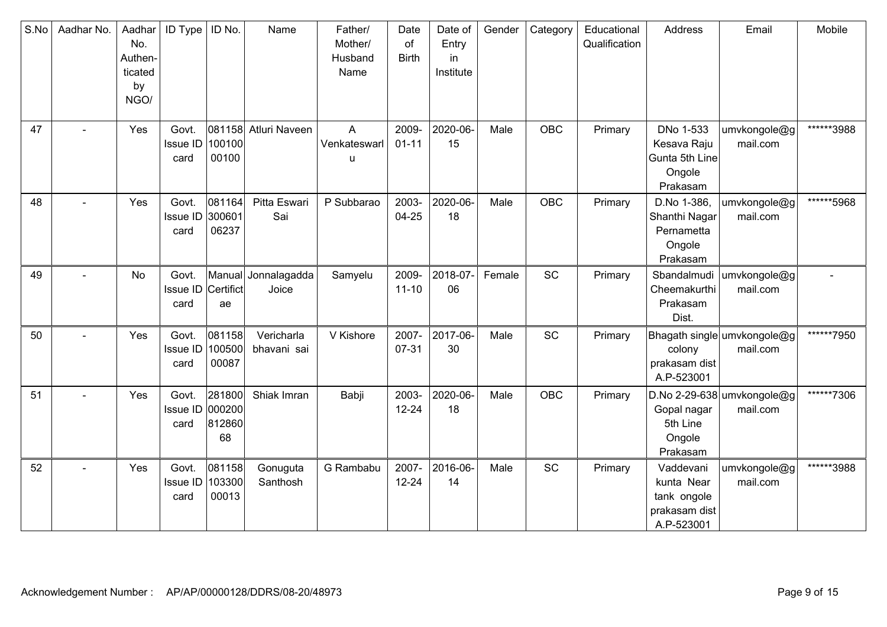| S.No | Aadhar No. | Aadhar<br>No.<br>Authen-<br>ticated<br>by<br>NGO/ | <b>ID Type</b>                   | ID No.                    | Name                      | Father/<br>Mother/<br>Husband<br>Name          | Date<br>of<br><b>Birth</b> | Date of<br>Entry<br>in<br>Institute | Gender | Category   | Educational<br>Qualification | Address                                                               | Email                                   | Mobile     |
|------|------------|---------------------------------------------------|----------------------------------|---------------------------|---------------------------|------------------------------------------------|----------------------------|-------------------------------------|--------|------------|------------------------------|-----------------------------------------------------------------------|-----------------------------------------|------------|
| 47   |            | Yes                                               | Govt.<br>Issue ID<br>card        | 100100<br>00100           | 081158 Atluri Naveen      | $\boldsymbol{\mathsf{A}}$<br>Venkateswarl<br>u | 2009-<br>$01 - 11$         | 2020-06-<br>15                      | Male   | OBC        | Primary                      | DNo 1-533<br>Kesava Raju<br>Gunta 5th Line<br>Ongole<br>Prakasam      | umvkongole@g<br>mail.com                | ******3988 |
| 48   |            | Yes                                               | Govt.<br><b>Issue ID</b><br>card | 081164<br>300601<br>06237 | Pitta Eswari<br>Sai       | P Subbarao                                     | 2003-<br>$04 - 25$         | 2020-06-<br>18                      | Male   | <b>OBC</b> | Primary                      | D.No 1-386,<br>Shanthi Nagar<br>Pernametta<br>Ongole<br>Prakasam      | umvkongole@g<br>mail.com                | ******5968 |
| 49   |            | No                                                | Govt.<br>Issue ID<br>card        | Manual<br>Certifict<br>ae | Jonnalagadda<br>Joice     | Samyelu                                        | 2009-<br>$11 - 10$         | 2018-07-<br>06                      | Female | SC         | Primary                      | Sbandalmudi<br>Cheemakurthi<br>Prakasam<br>Dist.                      | umvkongole@g<br>mail.com                |            |
| 50   |            | Yes                                               | Govt.<br><b>Issue ID</b><br>card | 081158<br>100500<br>00087 | Vericharla<br>bhavani sai | V Kishore                                      | 2007-<br>07-31             | 2017-06-<br>30                      | Male   | SC         | Primary                      | colony<br>prakasam dist<br>A.P-523001                                 | Bhagath single umvkongole@g<br>mail.com | ******7950 |
| 51   |            | Yes                                               | Govt.<br>Issue ID 000200<br>card | 281800<br>812860<br>68    | Shiak Imran               | Babji                                          | 2003-<br>$12 - 24$         | 2020-06-<br>18                      | Male   | <b>OBC</b> | Primary                      | Gopal nagar<br>5th Line<br>Ongole<br>Prakasam                         | D.No 2-29-638 umvkongole@g<br>mail.com  | ******7306 |
| 52   | $\sim$     | Yes                                               | Govt.<br><b>Issue ID</b><br>card | 081158<br>103300<br>00013 | Gonuguta<br>Santhosh      | G Rambabu                                      | 2007-<br>$12 - 24$         | 2016-06-<br>14                      | Male   | <b>SC</b>  | Primary                      | Vaddevani<br>kunta Near<br>tank ongole<br>prakasam dist<br>A.P-523001 | umvkongole@g<br>mail.com                | ******3988 |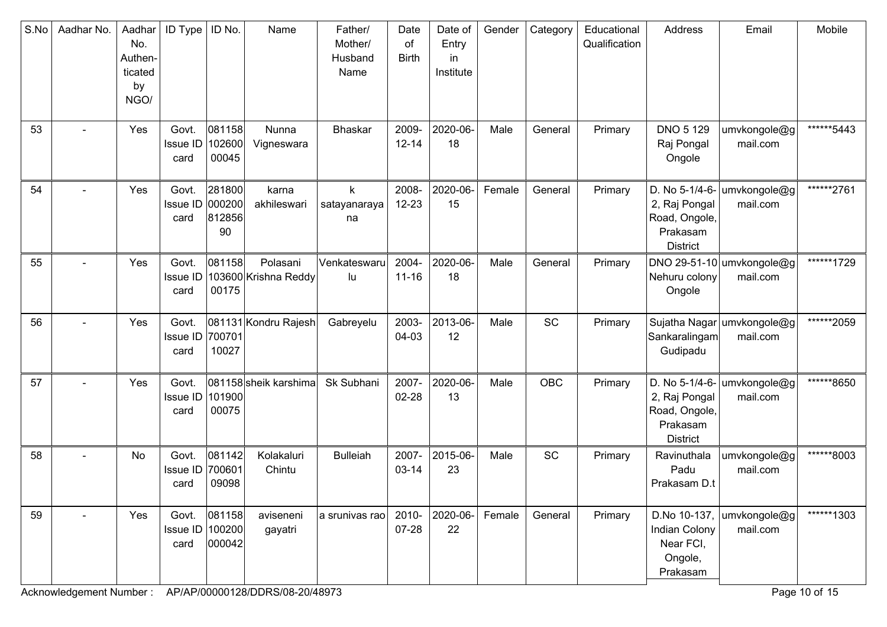| S.No | Aadhar No. | Aadhar<br>No.<br>Authen-<br>ticated<br>by<br>NGO/ | <b>ID Type</b>                     | ID No.                    | Name                             | Father/<br>Mother/<br>Husband<br>Name | Date<br>of<br><b>Birth</b> | Date of<br>Entry<br>in<br>Institute | Gender | Category   | Educational<br>Qualification | Address                                                                         | Email                                  | Mobile     |
|------|------------|---------------------------------------------------|------------------------------------|---------------------------|----------------------------------|---------------------------------------|----------------------------|-------------------------------------|--------|------------|------------------------------|---------------------------------------------------------------------------------|----------------------------------------|------------|
| 53   |            | Yes                                               | Govt.<br>Issue ID<br>card          | 081158<br>102600<br>00045 | Nunna<br>Vigneswara              | <b>Bhaskar</b>                        | 2009-<br>$12 - 14$         | 2020-06-<br>18                      | Male   | General    | Primary                      | <b>DNO 5 129</b><br>Raj Pongal<br>Ongole                                        | umvkongole@g<br>mail.com               | ******5443 |
| 54   |            | Yes                                               | Govt.<br>Issue ID 000200<br>card   | 281800<br>812856<br>90    | karna<br>akhileswari             | k<br>satayanaraya<br>na               | 2008-<br>$12 - 23$         | 2020-06-<br>15                      | Female | General    | Primary                      | D. No 5-1/4-6-<br>2, Raj Pongal<br>Road, Ongole,<br>Prakasam<br><b>District</b> | umvkongole@g<br>mail.com               | ******2761 |
| 55   |            | Yes                                               | Govt.<br>Issue ID<br>card          | 081158<br>00175           | Polasani<br>103600 Krishna Reddy | Venkateswaru<br>lu                    | 2004-<br>$11 - 16$         | 2020-06-<br>18                      | Male   | General    | Primary                      | Nehuru colony<br>Ongole                                                         | DNO 29-51-10 umvkongole@g<br>mail.com  | ******1729 |
| 56   |            | Yes                                               | Govt.<br>Issue ID 700701<br>card   | 10027                     | 081131 Kondru Rajesh             | Gabreyelu                             | 2003-<br>04-03             | 2013-06-<br>12                      | Male   | <b>SC</b>  | Primary                      | Sankaralingam<br>Gudipadu                                                       | Sujatha Nagar umvkongole@g<br>mail.com | ******2059 |
| 57   |            | Yes                                               | Govt.<br>Issue ID<br>card          | 101900<br>00075           | 081158 sheik karshima            | Sk Subhani                            | 2007-<br>$02 - 28$         | 2020-06-<br>13                      | Male   | <b>OBC</b> | Primary                      | D. No 5-1/4-6-<br>2, Raj Pongal<br>Road, Ongole,<br>Prakasam<br><b>District</b> | umvkongole@g<br>mail.com               | ******8650 |
| 58   |            | No                                                | Govt.<br>Issue ID<br>card          | 081142<br>700601<br>09098 | Kolakaluri<br>Chintu             | <b>Bulleiah</b>                       | 2007-<br>$03 - 14$         | 2015-06-<br>23                      | Male   | SC         | Primary                      | Ravinuthala<br>Padu<br>Prakasam D.t                                             | umvkongole@g<br>mail.com               | ******8003 |
| 59   |            | Yes                                               | Govt.<br>Issue ID   100200<br>card | 081158<br> 000042         | aviseneni<br>gayatri             | a srunivas rao                        | 2010-<br>07-28             | 2020-06-<br>22                      | Female | General    | Primary                      | D.No 10-137,<br>Indian Colony<br>Near FCI,<br>Ongole,<br>Prakasam               | umvkongole@g<br>mail.com               | ******1303 |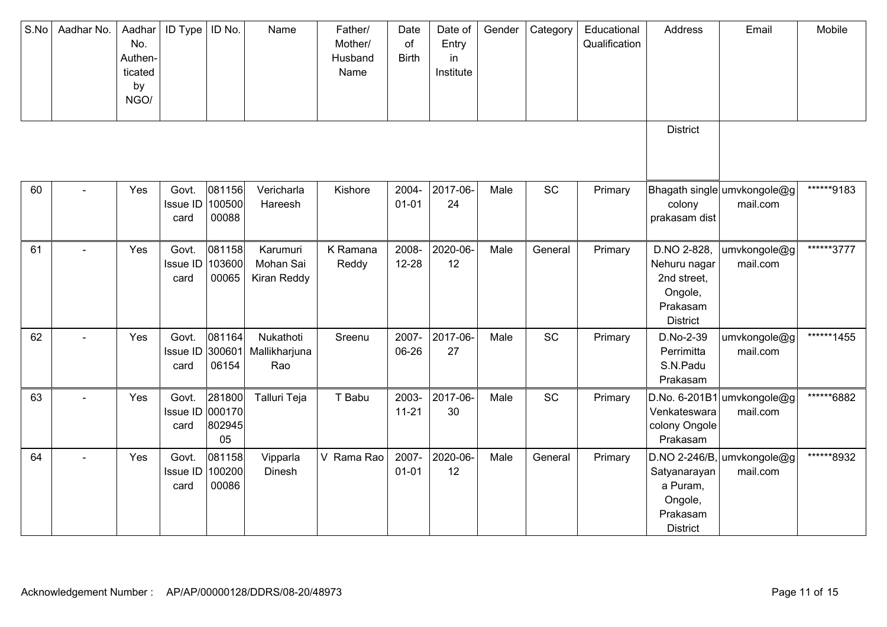| S.No | Aadhar No.     | Aadhar<br>No.<br>Authen-<br>ticated<br>by<br>NGO/ | <b>ID Type</b>                   | ID No.                           | Name                                 | Father/<br>Mother/<br>Husband<br>Name | Date<br>of<br><b>Birth</b> | Date of<br>Entry<br>in<br>Institute | Gender | Category | Educational<br>Qualification | Address                                                                              | Email                                    | Mobile     |
|------|----------------|---------------------------------------------------|----------------------------------|----------------------------------|--------------------------------------|---------------------------------------|----------------------------|-------------------------------------|--------|----------|------------------------------|--------------------------------------------------------------------------------------|------------------------------------------|------------|
|      |                |                                                   |                                  |                                  |                                      |                                       |                            |                                     |        |          |                              | <b>District</b>                                                                      |                                          |            |
| 60   |                | Yes                                               | Govt.<br><b>Issue ID</b><br>card | 081156<br>100500<br>00088        | Vericharla<br>Hareesh                | Kishore                               | 2004-<br>$01 - 01$         | 2017-06-<br>24                      | Male   | SC       | Primary                      | colony<br>prakasam dist                                                              | Bhagath single umvkongole@g<br>mail.com  | ******9183 |
| 61   |                | Yes                                               | Govt.<br>Issue ID<br>card        | 081158<br>103600<br>00065        | Karumuri<br>Mohan Sai<br>Kiran Reddy | K Ramana<br>Reddy                     | 2008-<br>$12 - 28$         | 2020-06-<br>12                      | Male   | General  | Primary                      | D.NO 2-828,<br>Nehuru nagar<br>2nd street,<br>Ongole,<br>Prakasam<br><b>District</b> | umvkongole@g<br>mail.com                 | ******3777 |
| 62   |                | Yes                                               | Govt.<br>Issue ID<br>card        | 081164<br>300601<br>06154        | Nukathoti<br>Mallikharjuna<br>Rao    | Sreenu                                | 2007-<br>06-26             | 2017-06-<br>27                      | Male   | SC       | Primary                      | D.No-2-39<br>Perrimitta<br>S.N.Padu<br>Prakasam                                      | umvkongole@g<br>mail.com                 | ******1455 |
| 63   |                | Yes                                               | Govt.<br>Issue ID<br>card        | 281800<br>000170<br>802945<br>05 | Talluri Teja                         | T Babu                                | 2003-<br>$11 - 21$         | 2017-06-<br>30                      | Male   | SC       | Primary                      | D.No. 6-201B1<br>Venkateswara<br>colony Ongole<br>Prakasam                           | umvkongole@g<br>mail.com                 | ******6882 |
| 64   | $\blacksquare$ | Yes                                               | Govt.<br>Issue ID<br>card        | 081158<br>100200<br>00086        | Vipparla<br>Dinesh                   | V Rama Rao                            | 2007-<br>$01 - 01$         | 2020-06-<br>12                      | Male   | General  | Primary                      | Satyanarayan<br>a Puram,<br>Ongole,<br>Prakasam<br><b>District</b>                   | $D.NO 2-246/B,$ umvkongole@g<br>mail.com | ******8932 |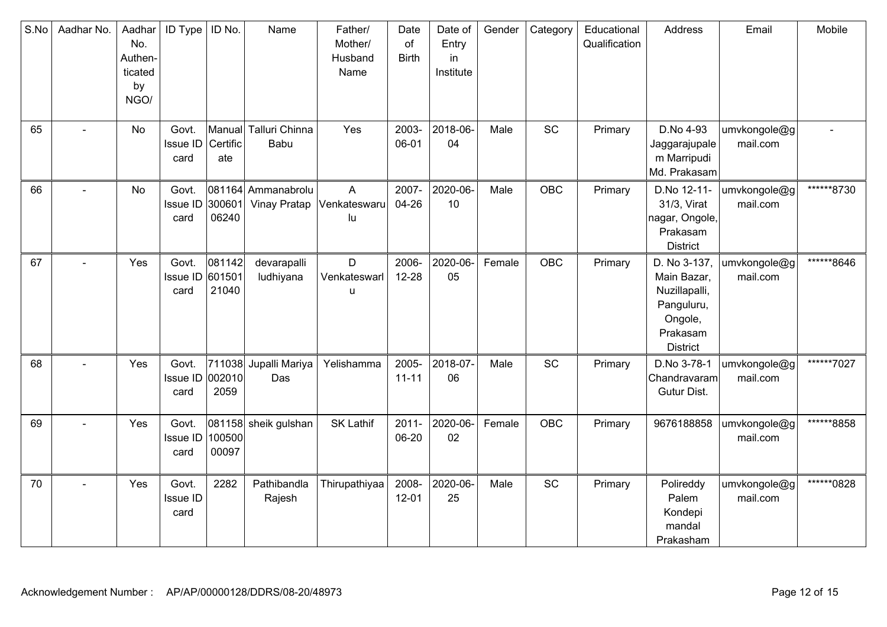| S.No | Aadhar No. | Aadhar<br>No.<br>Authen-<br>ticated<br>by<br>NGO/ | ID Type                          | ID No.                    | Name                               | Father/<br>Mother/<br>Husband<br>Name | Date<br>of<br><b>Birth</b> | Date of<br>Entry<br>in<br>Institute | Gender | Category   | Educational<br>Qualification | Address                                                                                              | Email                    | Mobile     |
|------|------------|---------------------------------------------------|----------------------------------|---------------------------|------------------------------------|---------------------------------------|----------------------------|-------------------------------------|--------|------------|------------------------------|------------------------------------------------------------------------------------------------------|--------------------------|------------|
| 65   |            | No                                                | Govt.<br><b>Issue ID</b><br>card | Certific<br>ate           | Manual Talluri Chinna<br>Babu      | Yes                                   | 2003-<br>06-01             | 2018-06-<br>04                      | Male   | SC         | Primary                      | D.No 4-93<br>Jaggarajupale<br>m Marripudi<br>Md. Prakasam                                            | umvkongole@g<br>mail.com |            |
| 66   |            | No                                                | Govt.<br>Issue ID<br>card        | 300601<br>06240           | 081164 Ammanabrolu<br>Vinay Pratap | A<br>Venkateswaru<br>lu               | 2007-<br>04-26             | 2020-06-<br>10                      | Male   | <b>OBC</b> | Primary                      | D.No 12-11-<br>31/3, Virat<br>nagar, Ongole,<br>Prakasam<br><b>District</b>                          | umvkongole@g<br>mail.com | ******8730 |
| 67   | L,         | Yes                                               | Govt.<br><b>Issue ID</b><br>card | 081142<br>601501<br>21040 | devarapalli<br>ludhiyana           | D<br>Venkateswarl<br>u                | 2006-<br>$12 - 28$         | 2020-06-<br>05                      | Female | <b>OBC</b> | Primary                      | D. No 3-137,<br>Main Bazar,<br>Nuzillapalli,<br>Panguluru,<br>Ongole,<br>Prakasam<br><b>District</b> | umvkongole@g<br>mail.com | ******8646 |
| 68   |            | Yes                                               | Govt.<br>Issue ID<br>card        | 002010<br>2059            | 711038 Jupalli Mariya<br>Das       | Yelishamma                            | 2005-<br>$11 - 11$         | 2018-07-<br>06                      | Male   | SC         | Primary                      | D.No 3-78-1<br>Chandravaram<br>Gutur Dist.                                                           | umvkongole@g<br>mail.com | ******7027 |
| 69   |            | Yes                                               | Govt.<br>Issue ID<br>card        | 100500<br>00097           | 081158 sheik gulshan               | <b>SK Lathif</b>                      | $2011 -$<br>06-20          | 2020-06-<br>02                      | Female | OBC        | Primary                      | 9676188858                                                                                           | umvkongole@g<br>mail.com | ******8858 |
| 70   |            | Yes                                               | Govt.<br>Issue ID<br>card        | 2282                      | Pathibandla<br>Rajesh              | Thirupathiyaa                         | 2008-<br>$12 - 01$         | 2020-06-<br>25                      | Male   | SC         | Primary                      | Polireddy<br>Palem<br>Kondepi<br>mandal<br>Prakasham                                                 | umvkongole@g<br>mail.com | ******0828 |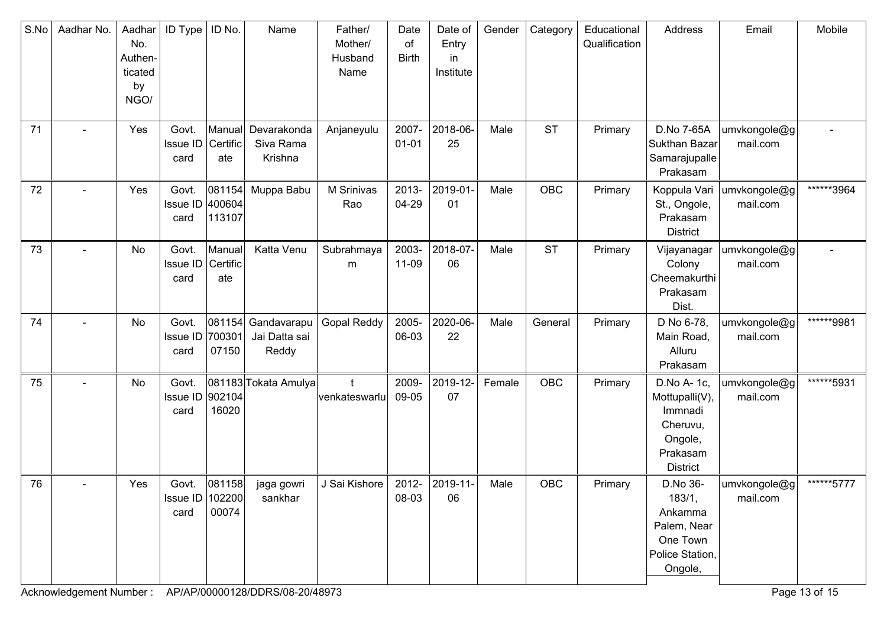| S.No | Aadhar No.     | Aadhar<br>No.<br>Authen-<br>ticated<br>by<br>NGO/ | <b>ID Type</b>                     | ID No.                     | Name                                         | Father/<br>Mother/<br>Husband<br>Name | Date<br>of<br><b>Birth</b> | Date of<br>Entry<br>in.<br>Institute | Gender | Category   | Educational<br>Qualification | Address                                                                                        | Email                    | Mobile     |
|------|----------------|---------------------------------------------------|------------------------------------|----------------------------|----------------------------------------------|---------------------------------------|----------------------------|--------------------------------------|--------|------------|------------------------------|------------------------------------------------------------------------------------------------|--------------------------|------------|
| 71   |                | Yes                                               | Govt.<br><b>Issue ID</b><br>card   | Manual<br>Certific<br>ate  | Devarakonda<br>Siva Rama<br>Krishna          | Anjaneyulu                            | 2007-<br>$01 - 01$         | 2018-06-<br>25                       | Male   | <b>ST</b>  | Primary                      | D.No 7-65A<br>Sukthan Bazar<br>Samarajupalle<br>Prakasam                                       | umvkongole@g<br>mail.com |            |
| 72   | $\blacksquare$ | Yes                                               | Govt.<br><b>Issue ID</b><br>card   | 081154<br>400604<br>113107 | Muppa Babu                                   | M Srinivas<br>Rao                     | 2013-<br>04-29             | 2019-01-<br>01                       | Male   | OBC        | Primary                      | Koppula Vari<br>St., Ongole,<br>Prakasam<br><b>District</b>                                    | umvkongole@g<br>mail.com | ******3964 |
| 73   |                | No                                                | Govt.<br><b>Issue ID</b><br>card   | Manual<br>Certific<br>ate  | Katta Venu                                   | Subrahmaya<br>m                       | 2003-<br>11-09             | 2018-07-<br>06                       | Male   | <b>ST</b>  | Primary                      | Vijayanagar<br>Colony<br>Cheemakurthi<br>Prakasam<br>Dist.                                     | umvkongole@g<br>mail.com |            |
| 74   |                | No                                                | Govt.<br>Issue ID<br>card          | 700301<br>07150            | 081154 Gandavarapu<br>Jai Datta sai<br>Reddy | <b>Gopal Reddy</b>                    | 2005-<br>06-03             | 2020-06-<br>22                       | Male   | General    | Primary                      | D No 6-78,<br>Main Road,<br>Alluru<br>Prakasam                                                 | umvkongole@g<br>mail.com | ******9981 |
| 75   |                | No                                                | Govt.<br>Issue ID<br>card          | 902104<br>16020            | 081183 Tokata Amulya                         | t<br>venkateswarlu                    | 2009-<br>09-05             | 2019-12-<br>07                       | Female | <b>OBC</b> | Primary                      | D.No A- 1c,<br>Mottupalli(V),<br>Immnadi<br>Cheruvu,<br>Ongole,<br>Prakasam<br><b>District</b> | umvkongole@g<br>mail.com | ******5931 |
| 76   |                | Yes                                               | Govt.<br>Issue ID   102200<br>card | 081158<br>00074            | jaga gowri<br>sankhar                        | J Sai Kishore                         | 2012-<br>08-03             | 2019-11-<br>06                       | Male   | OBC        | Primary                      | D.No 36-<br>183/1,<br>Ankamma<br>Palem, Near<br>One Town<br>Police Station,<br>Ongole,         | umvkongole@g<br>mail.com | ******5777 |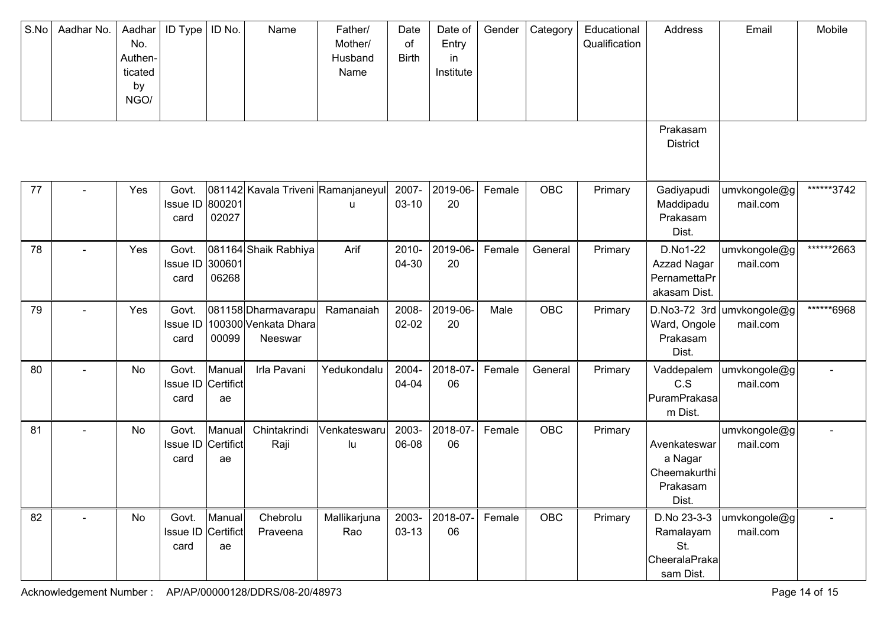| S.No | Aadhar No.     | Aadhar<br>No.<br>Authen-<br>ticated<br>by<br>NGO/ | <b>ID Type</b>                   | ID No.                    | Name                                                   | Father/<br>Mother/<br>Husband<br>Name | Date<br>of<br><b>Birth</b> | Date of<br>Entry<br>in<br>Institute | Gender | Category   | Educational<br>Qualification | Address                                                       | Email                                 | Mobile     |
|------|----------------|---------------------------------------------------|----------------------------------|---------------------------|--------------------------------------------------------|---------------------------------------|----------------------------|-------------------------------------|--------|------------|------------------------------|---------------------------------------------------------------|---------------------------------------|------------|
|      |                |                                                   |                                  |                           |                                                        |                                       |                            |                                     |        |            |                              | Prakasam<br><b>District</b>                                   |                                       |            |
| 77   |                | Yes                                               | Govt.<br>Issue ID 800201<br>card | 02027                     | 081142 Kavala Triveni Ramanjaneyul                     | u                                     | 2007-<br>$03-10$           | 2019-06-<br>20                      | Female | <b>OBC</b> | Primary                      | Gadiyapudi<br>Maddipadu<br>Prakasam<br>Dist.                  | umvkongole@g<br>mail.com              | ******3742 |
| 78   |                | Yes                                               | Govt.<br>Issue ID 300601<br>card | 06268                     | 081164 Shaik Rabhiya                                   | Arif                                  | 2010-<br>04-30             | 2019-06-<br>20                      | Female | General    | Primary                      | D.No1-22<br>Azzad Nagar<br>PernamettaPr<br>akasam Dist.       | umvkongole@g<br>mail.com              | ******2663 |
| 79   |                | Yes                                               | Govt.<br>Issue ID<br>card        | 00099                     | 081158 Dharmavarapu<br>100300 Venkata Dhara<br>Neeswar | Ramanaiah                             | 2008-<br>$02 - 02$         | 2019-06-<br>20                      | Male   | <b>OBC</b> | Primary                      | Ward, Ongole<br>Prakasam<br>Dist.                             | D.No3-72 3rd umvkongole@g<br>mail.com | ******6968 |
| 80   |                | No                                                | Govt.<br>Issue ID<br>card        | Manual<br>Certifict<br>ae | Irla Pavani                                            | Yedukondalu                           | 2004-<br>04-04             | 2018-07-<br>06                      | Female | General    | Primary                      | Vaddepalem<br>C.S<br>PuramPrakasa<br>m Dist.                  | umvkongole@g<br>mail.com              |            |
| 81   |                | No                                                | Govt.<br>Issue ID<br>card        | Manual<br>Certifict<br>ae | Chintakrindi<br>Raji                                   | Venkateswaru<br>lu                    | 2003-<br>06-08             | 2018-07-<br>06                      | Female | <b>OBC</b> | Primary                      | Avenkateswar<br>a Nagar<br>Cheemakurthi<br>Prakasam<br>Dist.  | umvkongole@g<br>mail.com              |            |
| 82   | $\blacksquare$ | No                                                | Govt.<br>Issue ID<br>card        | Manual<br>Certifict<br>ae | Chebrolu<br>Praveena                                   | Mallikarjuna<br>Rao                   | 2003-<br>$03-13$           | 2018-07-<br>06                      | Female | <b>OBC</b> | Primary                      | D.No 23-3-3<br>Ramalayam<br>St.<br>CheeralaPraka<br>sam Dist. | umvkongole@g<br>mail.com              |            |